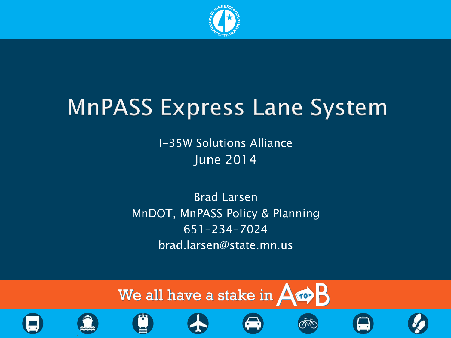

I-35W Solutions Alliance June 2014

Brad Larsen MnDOT, MnPASS Policy & Planning 651-234-7024 brad.larsen@state.mn.us















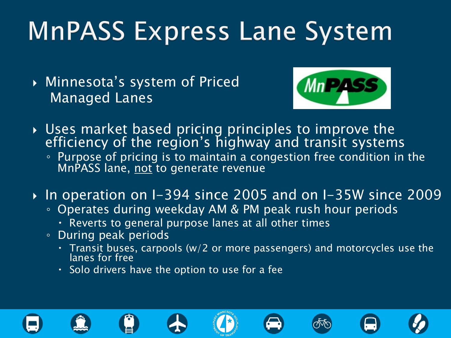Minnesota's system of Priced Managed Lanes



- Uses market based pricing principles to improve the efficiency of the region's highway and transit systems
	- Purpose of pricing is to maintain a congestion free condition in the MnPASS lane, not to generate revenue
- In operation on I-394 since 2005 and on I-35W since 2009
	- Operates during weekday AM & PM peak rush hour periods
		- . Reverts to general purpose lanes at all other times
	- During peak periods
		- Transit buses, carpools (w/2 or more passengers) and motorcycles use the lanes for free
		- $\cdot$  Solo drivers have the option to use for a fee

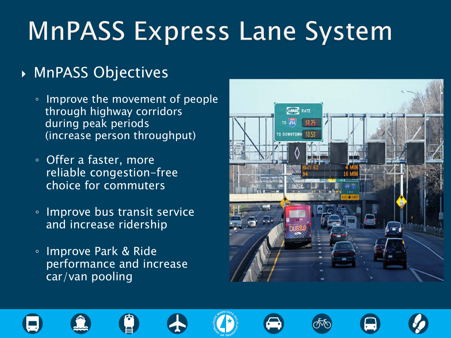### MnPASS Objectives

- Improve the movement of people through highway corridors during peak periods (increase person throughput)
- Offer a faster, more reliable congestion-free choice for commuters
- Improve bus transit service and increase ridership
- Improve Park & Ride performance and increase car/van pooling















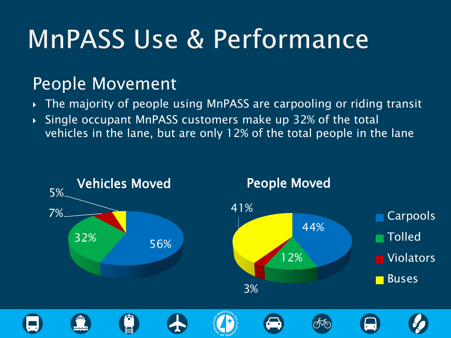### People Movement

- The majority of people using MnPASS are carpooling or riding transit
- Single occupant MnPASS customers make up 32% of the total vehicles in the lane, but are only 12% of the total people in the lane

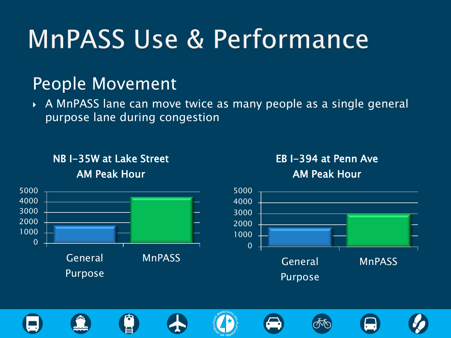### People Movement

 A MnPASS lane can move twice as many people as a single general purpose lane during congestion

NB I-35W at Lake Street AM Peak Hour













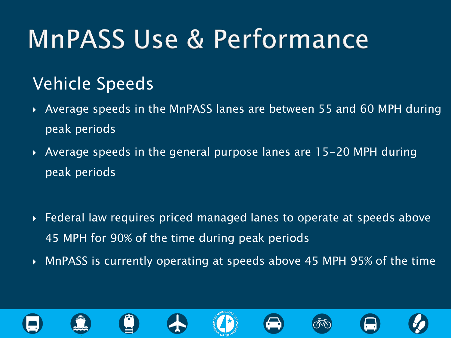### Vehicle Speeds

- Average speeds in the MnPASS lanes are between 55 and 60 MPH during peak periods
- Average speeds in the general purpose lanes are 15-20 MPH during peak periods
- Federal law requires priced managed lanes to operate at speeds above 45 MPH for 90% of the time during peak periods
- MnPASS is currently operating at speeds above 45 MPH 95% of the time

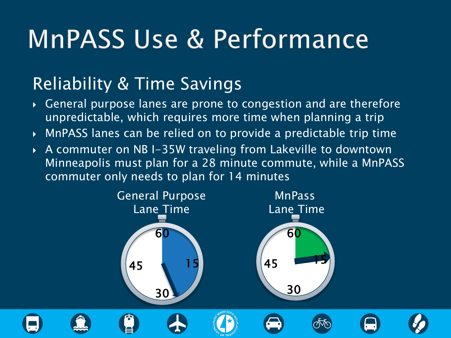### Reliability & Time Savings

- General purpose lanes are prone to congestion and are therefore unpredictable, which requires more time when planning a trip
- MnPASS lanes can be relied on to provide a predictable trip time
- A commuter on NB I-35W traveling from Lakeville to downtown Minneapolis must plan for a 28 minute commute, while a MnPASS commuter only needs to plan for 14 minutes

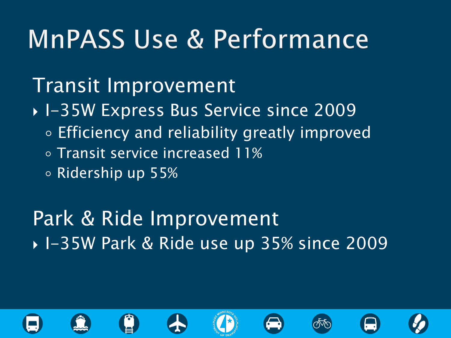Transit Improvement

- ▶ I-35W Express Bus Service since 2009
	- Efficiency and reliability greatly improved
	- Transit service increased 11%
	- Ridership up 55%

Park & Ride Improvement ▶ I-35W Park & Ride use up 35% since 2009

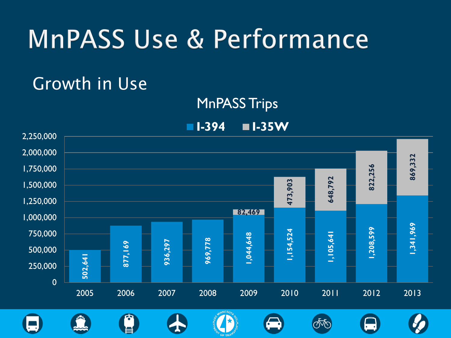### Growth in Use



**I-394 I-35W**

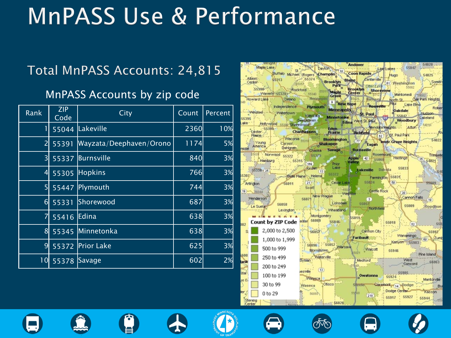### Total MnPASS Accounts: 24,815

#### MnPASS Accounts by zip code

| Rank             | <b>ZIP</b><br>Code | City                    | Count | Percent |
|------------------|--------------------|-------------------------|-------|---------|
| T                | 55044              | Lakeville               | 2360  | 10%     |
| $\overline{2}$   | 55391              | Wayzata/Deephaven/Orono | 1174  | 5%      |
| $\overline{3}$   | 55337              | Burnsville              | 840   | 3%      |
| $\overline{4}$   | 55305              | <b>Hopkins</b>          | 766   | 3%      |
| 5                | 55447              | Plymouth                | 744   | 3%      |
| $6 \overline{6}$ | 55331              | Shorewood               | 687   | 3%      |
| 7                | 55416              | Edina                   | 638   | 3%      |
| 8                | 55345              | Minnetonka              | 638   | 3%      |
| 9                | 55372              | Prior Lake              | 625   | 3%      |
| 0                | 55378              | Savage                  | 602   | 2%      |

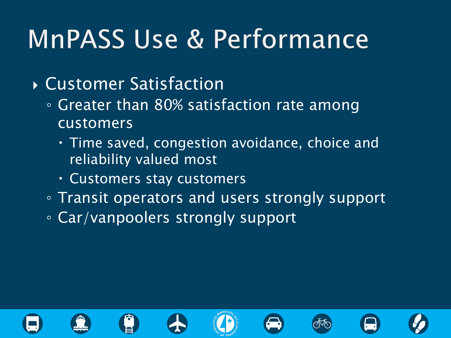- Customer Satisfaction
	- Greater than 80% satisfaction rate among customers
		- Time saved, congestion avoidance, choice and reliability valued most
		- Customers stay customers
	- Transit operators and users strongly support
	- Car/vanpoolers strongly support

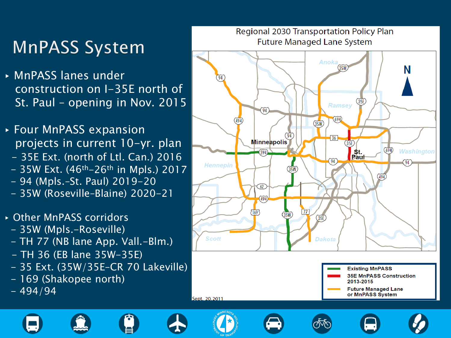### **MnPASS System**

- ▸ MnPASS lanes under construction on I-35E north of St. Paul – opening in Nov. 2015
- ▸ Four MnPASS expansion projects in current 10-yr. plan
	- 35E Ext. (north of Ltl. Can.) 2016
	- $-$  35W Ext. (46<sup>th</sup>-26<sup>th</sup> in Mpls.) 2017
	- 94 (Mpls.–St. Paul) 2019-20
	- 35W (Roseville–Blaine) 2020-21
- ▸ Other MnPASS corridors
	- 35W (Mpls.-Roseville)
	- TH 77 (NB lane App. Vall.-Blm.)
	- TH 36 (EB lane 35W-35E)
	- 35 Ext. (35W/35E–CR 70 Lakeville)
	- 169 (Shakopee north)
	- $-494/94$



or MnPASS System







Sept. 20, 2011







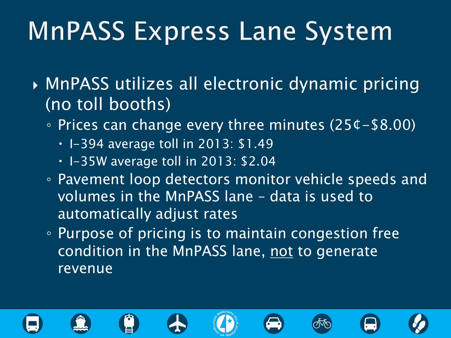- MnPASS utilizes all electronic dynamic pricing (no toll booths)
	- Prices can change every three minutes (25¢-\$8.00)
		- $\cdot$  I-394 average toll in 2013: \$1.49
		- $\cdot$  I-35W average toll in 2013: \$2.04
	- Pavement loop detectors monitor vehicle speeds and volumes in the MnPASS lane – data is used to automatically adjust rates
	- Purpose of pricing is to maintain congestion free condition in the MnPASS lane, not to generate revenue

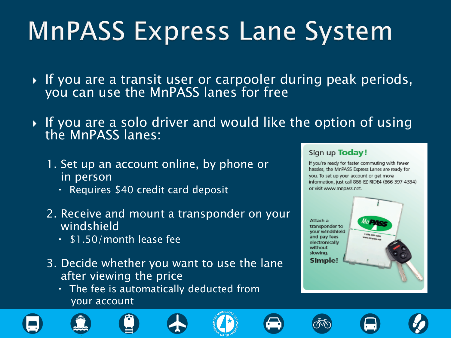- $\blacktriangleright$  If you are a transit user or carpooler during peak periods, you can use the MnPASS lanes for free
- $\blacktriangleright$  If you are a solo driver and would like the option of using  $\blacktriangleright$ the MnPASS lanes:
	- 1. Set up an account online, by phone or in person
		- Requires \$40 credit card deposit
	- 2. Receive and mount a transponder on your windshield
		- $\cdot$  \$1.50/month lease fee
	- 3. Decide whether you want to use the lane after viewing the price
		- $\cdot$  The fee is automatically deducted from your account













If you're ready for faster commuting with fewer hassles, the MnPASS Express Lanes are ready for you. To set up your account or get more information, just call 866-EZ-RIDE4 (866-397-4334) or visit www.mnpass.net.

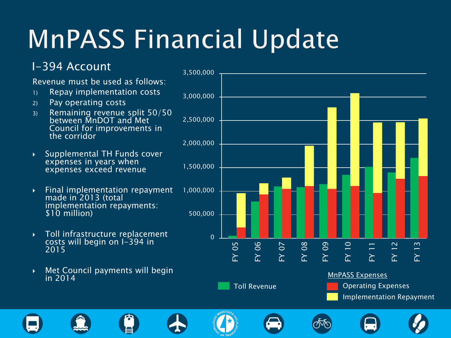# **MnPASS Financial Update**

#### I-394 Account

#### Revenue must be used as follows:

- 1) Repay implementation costs
- 2) Pay operating costs
- 3) Remaining revenue split 50/50 between MnDOT and Met Council for improvements in the corridor
- Supplemental TH Funds cover expenses in years when expenses exceed revenue
- $\triangleright$  Final implementation repayment made in 2013 (total implementation repayments: \$10 million)
- Toll infrastructure replacement costs will begin on I-394 in 2015
- **Met Council payments will begin** in 2014



Toll Revenue **Containers** Operating Expenses Implementation Repayment

















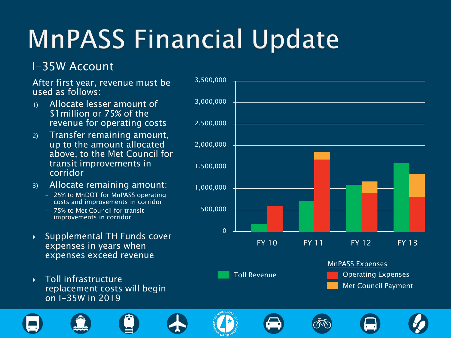# **MnPASS Financial Update**

#### I-35W Account

After first year, revenue must be used as follows:

- 1) Allocate lesser amount of \$1million or 75% of the revenue for operating costs
- 2) Transfer remaining amount, up to the amount allocated above, to the Met Council for transit improvements in corridor
- 3) Allocate remaining amount:
	- 25% to MnDOT for MnPASS operating costs and improvements in corridor
	- 75% to Met Council for transit improvements in corridor
- ▶ Supplemental TH Funds cover expenses in years when expenses exceed revenue
- **Toll infrastructure** replacement costs will begin on I-35W in 2019

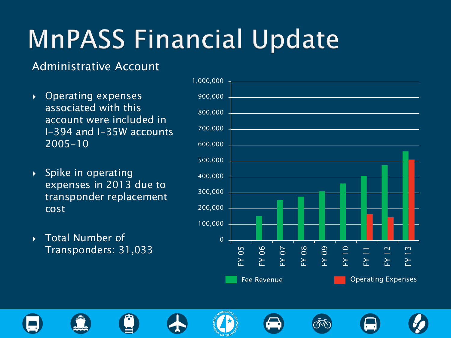## **MnPASS Financial Update**

#### Administrative Account

- ▶ Operating expenses associated with this account were included in I-394 and I-35W accounts 2005-10
- $\rightarrow$  Spike in operating expenses in 2013 due to transponder replacement cost
- ▶ Total Number of Transponders: 31,033